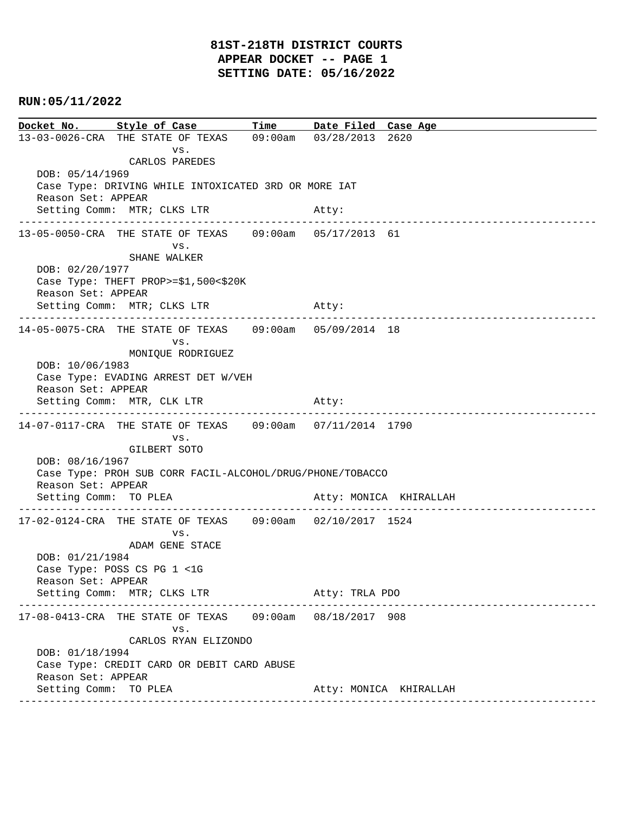# **81ST-218TH DISTRICT COURTS APPEAR DOCKET -- PAGE 1 SETTING DATE: 05/16/2022**

# **RUN:05/11/2022**

|                                                            | Docket No. Style of Case Time Date Filed Case Age         |       |                |                                    |  |  |
|------------------------------------------------------------|-----------------------------------------------------------|-------|----------------|------------------------------------|--|--|
|                                                            | 13-03-0026-CRA THE STATE OF TEXAS 09:00am 03/28/2013 2620 |       |                |                                    |  |  |
|                                                            | VS.<br>CARLOS PAREDES                                     |       |                |                                    |  |  |
| DOB: 05/14/1969                                            |                                                           |       |                |                                    |  |  |
| Case Type: DRIVING WHILE INTOXICATED 3RD OR MORE IAT       |                                                           |       |                |                                    |  |  |
| Reason Set: APPEAR                                         |                                                           |       |                |                                    |  |  |
|                                                            | Setting Comm: MTR; CLKS LTR                               |       | Atty:          | ---------------------------------- |  |  |
|                                                            | 13-05-0050-CRA THE STATE OF TEXAS 09:00am 05/17/2013 61   |       |                |                                    |  |  |
|                                                            | VS.                                                       |       |                |                                    |  |  |
|                                                            | SHANE WALKER                                              |       |                |                                    |  |  |
| DOB: 02/20/1977                                            |                                                           |       |                |                                    |  |  |
| Case Type: THEFT PROP>=\$1,500<\$20K<br>Reason Set: APPEAR |                                                           |       |                |                                    |  |  |
|                                                            | Setting Comm: MTR; CLKS LTR                               | Atty: |                |                                    |  |  |
|                                                            |                                                           |       |                |                                    |  |  |
|                                                            | 14-05-0075-CRA THE STATE OF TEXAS 09:00am 05/09/2014 18   |       |                |                                    |  |  |
|                                                            | VS.                                                       |       |                |                                    |  |  |
| DOB: 10/06/1983                                            | MONIQUE RODRIGUEZ                                         |       |                |                                    |  |  |
|                                                            | Case Type: EVADING ARREST DET W/VEH                       |       |                |                                    |  |  |
| Reason Set: APPEAR                                         |                                                           |       |                |                                    |  |  |
|                                                            | Setting Comm: MTR, CLK LTR                                | Atty: |                |                                    |  |  |
|                                                            | 14-07-0117-CRA THE STATE OF TEXAS 09:00am 07/11/2014 1790 |       |                |                                    |  |  |
|                                                            | VS.                                                       |       |                |                                    |  |  |
|                                                            | GILBERT SOTO                                              |       |                |                                    |  |  |
|                                                            | DOB: 08/16/1967                                           |       |                |                                    |  |  |
|                                                            | Case Type: PROH SUB CORR FACIL-ALCOHOL/DRUG/PHONE/TOBACCO |       |                |                                    |  |  |
| Reason Set: APPEAR<br>Setting Comm: TO PLEA                |                                                           |       |                | Atty: MONICA KHIRALLAH             |  |  |
|                                                            | --------------------------                                |       |                |                                    |  |  |
|                                                            | 17-02-0124-CRA THE STATE OF TEXAS 09:00am 02/10/2017 1524 |       |                |                                    |  |  |
|                                                            | VS.                                                       |       |                |                                    |  |  |
| DOB: 01/21/1984                                            | ADAM GENE STACE                                           |       |                |                                    |  |  |
|                                                            | Case Type: POSS CS PG 1 <1G                               |       |                |                                    |  |  |
| Reason Set: APPEAR                                         |                                                           |       |                |                                    |  |  |
|                                                            | Setting Comm: MTR; CLKS LTR                               |       | Atty: TRLA PDO |                                    |  |  |
|                                                            | 17-08-0413-CRA THE STATE OF TEXAS 09:00am 08/18/2017 908  |       |                |                                    |  |  |
|                                                            | VS.                                                       |       |                |                                    |  |  |
|                                                            | CARLOS RYAN ELIZONDO                                      |       |                |                                    |  |  |
| DOB: 01/18/1994                                            |                                                           |       |                |                                    |  |  |
|                                                            | Case Type: CREDIT CARD OR DEBIT CARD ABUSE                |       |                |                                    |  |  |
| Reason Set: APPEAR<br>Setting Comm: TO PLEA                |                                                           |       |                | Atty: MONICA KHIRALLAH             |  |  |
|                                                            |                                                           |       |                |                                    |  |  |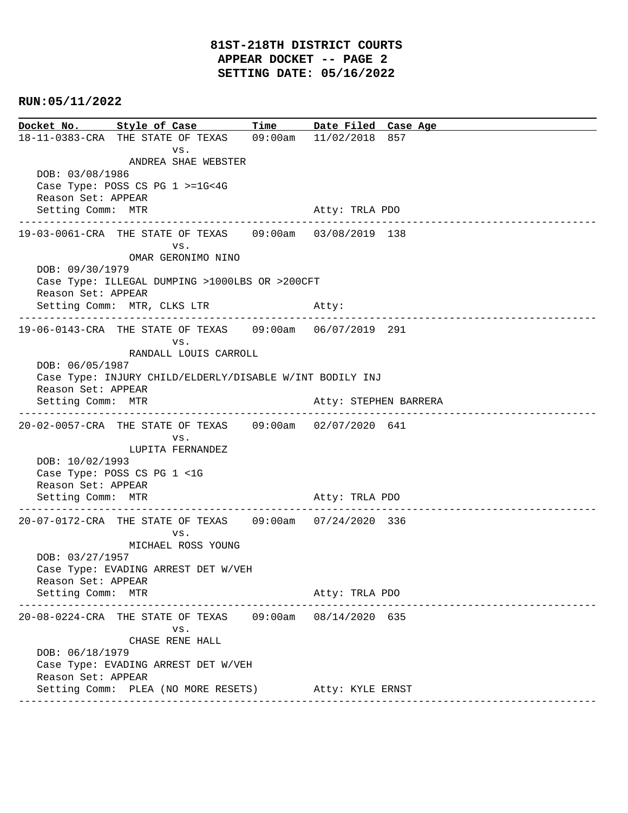#### **RUN:05/11/2022**

**Docket No. Style of Case Time Date Filed Case Age**  18-11-0383-CRA THE STATE OF TEXAS 09:00am 11/02/2018 857 vs. ANDREA SHAE WEBSTER DOB: 03/08/1986 Case Type: POSS CS PG 1 >=1G<4G Reason Set: APPEAR Setting Comm: MTR Atty: TRLA PDO ---------------------------------------------------------------------------------------------- 19-03-0061-CRA THE STATE OF TEXAS 09:00am 03/08/2019 138 vs. OMAR GERONIMO NINO DOB: 09/30/1979 Case Type: ILLEGAL DUMPING >1000LBS OR >200CFT Reason Set: APPEAR Setting Comm: MTR, CLKS LTR Atty: ---------------------------------------------------------------------------------------------- 19-06-0143-CRA THE STATE OF TEXAS 09:00am 06/07/2019 291 vs. RANDALL LOUIS CARROLL DOB: 06/05/1987 Case Type: INJURY CHILD/ELDERLY/DISABLE W/INT BODILY INJ Reason Set: APPEAR Setting Comm: MTR Atty: STEPHEN BARRERA ---------------------------------------------------------------------------------------------- 20-02-0057-CRA THE STATE OF TEXAS 09:00am 02/07/2020 641 vs. LUPITA FERNANDEZ DOB: 10/02/1993 Case Type: POSS CS PG 1 <1G Reason Set: APPEAR Setting Comm: MTR Atty: TRLA PDO ---------------------------------------------------------------------------------------------- 20-07-0172-CRA THE STATE OF TEXAS 09:00am 07/24/2020 336 vs. MICHAEL ROSS YOUNG DOB: 03/27/1957 Case Type: EVADING ARREST DET W/VEH Reason Set: APPEAR Setting Comm: MTR Atty: TRLA PDO ---------------------------------------------------------------------------------------------- 20-08-0224-CRA THE STATE OF TEXAS 09:00am 08/14/2020 635 vs. CHASE RENE HALL DOB: 06/18/1979 Case Type: EVADING ARREST DET W/VEH Reason Set: APPEAR Setting Comm: PLEA (NO MORE RESETS) Atty: KYLE ERNST ----------------------------------------------------------------------------------------------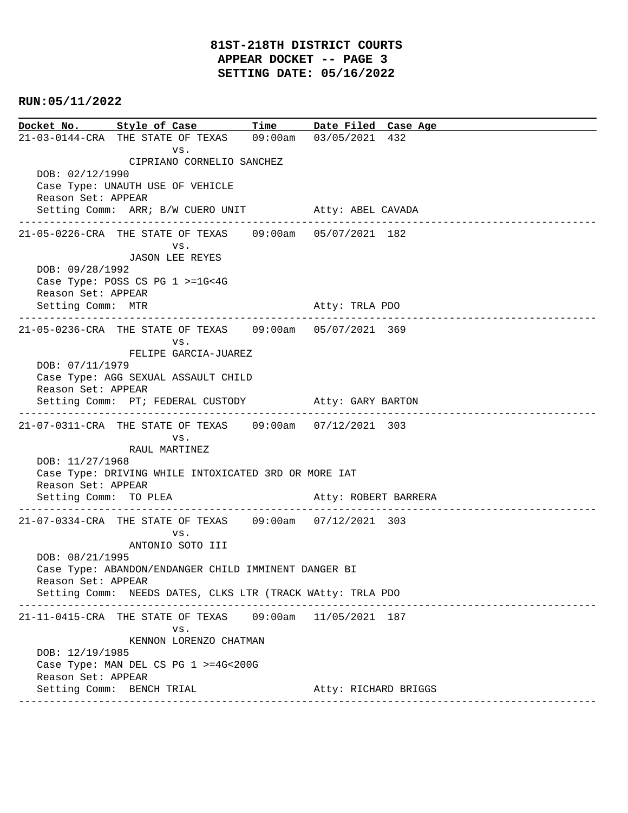#### **RUN:05/11/2022**

**Docket No. Style of Case Time Date Filed Case Age**  21-03-0144-CRA THE STATE OF TEXAS 09:00am 03/05/2021 432 vs. CIPRIANO CORNELIO SANCHEZ DOB: 02/12/1990 Case Type: UNAUTH USE OF VEHICLE Reason Set: APPEAR Setting Comm: ARR; B/W CUERO UNIT Atty: ABEL CAVADA ---------------------------------------------------------------------------------------------- 21-05-0226-CRA THE STATE OF TEXAS 09:00am 05/07/2021 182 vs. JASON LEE REYES DOB: 09/28/1992 Case Type: POSS CS PG 1 >=1G<4G Reason Set: APPEAR Setting Comm: MTR Atty: TRLA PDO ---------------------------------------------------------------------------------------------- 21-05-0236-CRA THE STATE OF TEXAS 09:00am 05/07/2021 369 vs. FELIPE GARCIA-JUAREZ DOB: 07/11/1979 Case Type: AGG SEXUAL ASSAULT CHILD Reason Set: APPEAR Setting Comm: PT; FEDERAL CUSTODY Atty: GARY BARTON ---------------------------------------------------------------------------------------------- 21-07-0311-CRA THE STATE OF TEXAS 09:00am 07/12/2021 303 vs. RAUL MARTINEZ DOB: 11/27/1968 Case Type: DRIVING WHILE INTOXICATED 3RD OR MORE IAT Reason Set: APPEAR Setting Comm: TO PLEA Atty: ROBERT BARRERA ---------------------------------------------------------------------------------------------- 21-07-0334-CRA THE STATE OF TEXAS 09:00am 07/12/2021 303 vs. ANTONIO SOTO III DOB: 08/21/1995 Case Type: ABANDON/ENDANGER CHILD IMMINENT DANGER BI Reason Set: APPEAR Setting Comm: NEEDS DATES, CLKS LTR (TRACK WAtty: TRLA PDO ---------------------------------------------------------------------------------------------- 21-11-0415-CRA THE STATE OF TEXAS 09:00am 11/05/2021 187 vs. KENNON LORENZO CHATMAN DOB: 12/19/1985 Case Type: MAN DEL CS PG 1 >=4G<200G Reason Set: APPEAR Setting Comm: BENCH TRIAL **Atty: RICHARD BRIGGS** ----------------------------------------------------------------------------------------------